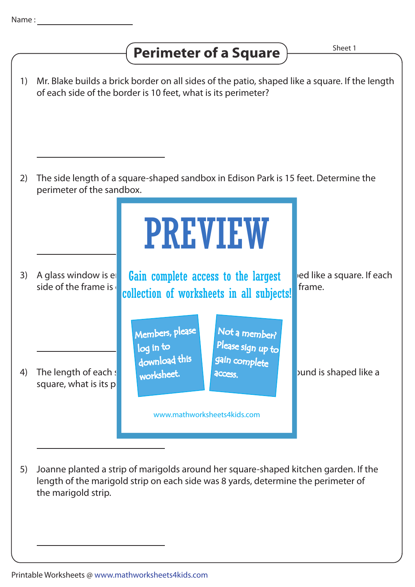## **Perimeter of a Square**  $\overline{\phantom{a}}$  **Perimeter of a Square**